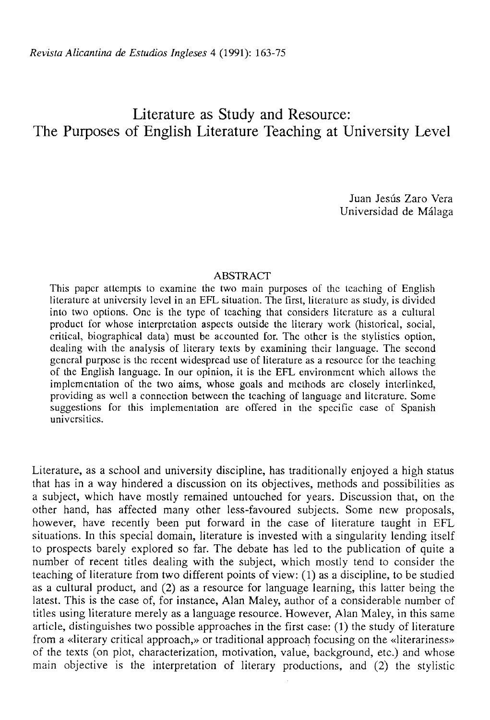# Literature as Study and Resource: The Purposes of English Literature Teaching at University Level

Juan Jesús Zaro Vera Universidad de Málaga

## ABSTRACT

This papcr attempts to examine the two main purposes of the teaching of English literature at university Icvel in an EFL situation. The first, literature as study, is divided into two options. One is the type of teaching that considers literature as a cultural product for whose interpretation aspeets outside the literary work (historical, social, critical, biographical data) must be accounted for. The other is the stylistics option, dealing with the analysis of literary texis by examining thcir language. The second general purpose is the recent widespread use of literature as a resource for the teaching of the English language. In our opinión, it is the EFL environment which allows the implemcntation of the two aims, whose goals and methods are closely interlinked, providing as well a connection between the teaching of language and literature. Some suggestions for this implementation are offered in the specific case of Spanish universitics.

Literature, as a school and university discipline, has traditionally enjoyed a high status that has in a way hindered a discussion on its objectives, methods and possibilities as a subject, which have mostly remained untouched for years. Discussion that, on the other hand, has affected many other less-favoured subjeets. Some new proposals, however, have recently been put forward in the case of literature taught in EFL situations. In this special domain, literature is invested with a singularity lending itself to prospeets barely explored so far. The debate has led to the publication of quite a number of recent titles dealing with the subject, which mostly tend to consider the teaching of literature from two different points of view: (1) as a discipline, to be studied as a cultural product, and (2) as a resource for language learning, this latter being the latest. This is the case of, for instance, Alan Maley, author of a considerable number of titles using literature merely as a language resource. However, Alan Maley, in this same article, distinguishes two possible approaches in the first case: (1) the study of literature from a «literary critical approach,» or traditional approach focusing on the «literariness» of the texts (on plot, characterization, motivation, valué, background, etc.) and whose main objective is the interpretation of literary productions, and (2) the stylistic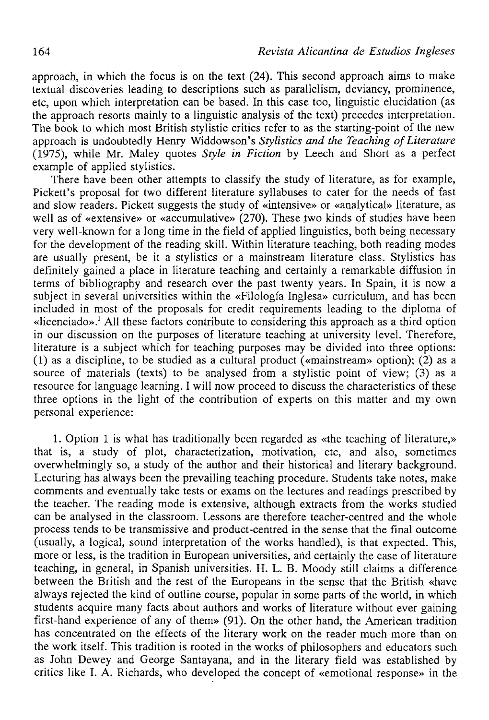approach, in which the focus is on the text  $(24)$ . This second approach aims to make textual discoveries leading to descriptions such as parallelism, devianey, prominence, etc, upon which interpretation can be based. In this case too, linguistic elucidation (as the approach resorts mainly to a linguistic analysis of the text) precedes interpretation. The book to which most British stylistic critics refer to as the starting-point of the new approach is undoubtedly Henry Widdowson's *Stylistics and the Teaching of Literature*  (1975), while Mr. Maley quotes *Style in Fiction* by Leech and Short as a perfect example of applied stylistics.

There have been other attempts to classify the study of literature, as for example, Pickett's proposal for two different literature syllabuses to cater for the needs of fast and slow readers. Pickett suggests the study of «intensive» or «analytical» literature, as well as of «extensive» or «accumulative» (270). These two kinds of studies have been very well-known for a long time in the field of applied linguistics, both being necessary for the development of the reading skill. Within literature teaching, both reading modes are usually present, be it a stylistics or a mainstream literature class. Stylistics has definitely gained a place in literature teaching and certainly a remarkable diffusion in terms of bibliography and research over the past twenty years. In Spain, it is now a subject in several universities within the «Filología Inglesa» curriculum, and has been included in most of the proposals for credit requirements leading to the diploma of «licenciado».<sup>1</sup> All these factors contribute to considering this approach as a third option in our discussion on the purposes of literature teaching at university level. Therefore, literature is a subject which for teaching purposes may be divided into three options: (1) as a discipline, to be studied as a cultural product («mainstream» option); (2) as a source of materials (texts) to be analysed from a stylistic point of view; (3) as a resource for language learning. I will now proceed to discuss the characteristics of these three options in the light of the contribution of experts on this matter and my own personal experience:

1. Option 1 is what has traditionally been regarded as «the teaching of literature,» that is, a study of plot, characterization, motivation, etc, and also, sometimes overwhelmingly so, a study of the author and their historical and literary background. Lecturing has always been the prevailing teaching procedure. Students take notes, make comments and eventually take tests or exams on the lectures and readings prescribed by the teacher. The reading mode is extensive, although extraets from the works studied can be analysed in the classroom. Lessons are therefore teacher-centred and the whole process tends to be transmissive and product-centred in the sense that the final outeome (usually, a logical, sound interpretation of the works handled), is that expected. This, more or less, is the tradition in European universities, and certainly the case of literature teaching, in general, in Spanish universities. H. L. B. Moody still claims a difference between the British and the rest of the Europeans in the sense that the British «have always rejected the kind of outline course, popular in some parts of the world, in which students acquire many faets about authors and works of literature without ever gaining first-hand experience of any of them» (91). On the other hand, the American tradition has concentrated on the effeets of the literary work on the reader much more than on the work itself. This tradition is rooted in the works of philosophers and educators such as John Dewey and George Santayana, and in the literary field was established by critics like I. A. Richards, who developed the concept of «emotional response» in the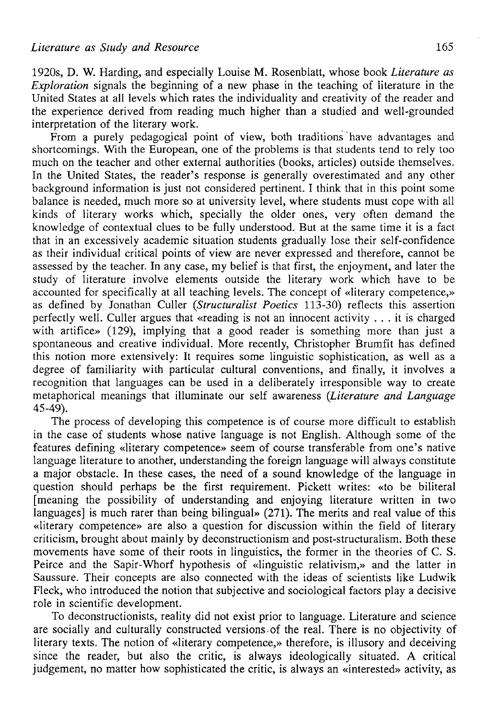1920s, D. W. Harding, and especially Louise M. Rosenblatt, whose book *Literature as Exploration* signals the beginning of a new phase in the teaching of literature in the United States at all levels which rates the individuality and creativity of the reader and the experience derived from reading much higher than a studied and well-grounded interpretation of the literary work.

From a purely pedagogical point of view, both traditions have advantages and shortcomings. With the European, one of the problems is that students tend to rely too much on the teacher and other external authorities (books, articles) outside themselves. In the United States, the reader's response is generally overestimated and any other background information is just not considered pertinent. I think that in this point some balance is needed, much more so at university level, where students must cope with all kinds of literary works which, specially the older ones, very often demand the knowledge of contextual clues to be fully understood. But at the same time it is a fact that in an excessively academic situation students gradually lose their self-confidence as their individual critical points of view are never expressed and therefore, cannot be assessed by the teacher. In any case, my belief is that first, the enjoyment, and later the study of literature involve elements outside the literary work which have to be accounted for specifically at all teaching levels. The concept of «literary competence,» as defined by Jonathan Culler *(Structuralist Poetics* 113-30) reflects this assertion perfectly well. Culler argües that «reading is not an innocent activity . . . it is charged with artifice» (129), implying that a good reader is something more than just a spontaneous and creative individual. More recently, Christopher Brumfit has defined this notion more extensively: It requires some linguistic sophistication, as well as a degree of familiarity with particular cultural conventions, and finally, it involves a recognition that languages can be used in a deliberately irresponsible way to create metaphorical meanings that ¡Ilumínate our self awareness *{Literature and Language*  45-49).

The process of developing this competence is of course more difficult to establish in the case of students whose native language is not English. Although some of the features defining «literary competence» seem of course transferable from one's native language literature to another, understanding the foreign language will always constitute a major obstacle. In these cases, the need of a sound knowledge of the language in question should perhaps be the first requirement. Pickett writes: «to be biliteral [meaning the possibility of understanding and enjoying literature written in two languages] is much rarer than being bilingual» (271). The merits and real value of this «literary competence» are also a question for discussion within the field of literary criticism, brought about mainly by deconstructionism and post-structuralism. Both these movements have some of their roots in linguistics, the former in the theories of C. S. Peirce and the Sapir-Whorf hypothesis of «linguistic relativism,» and the latter in Saussure. Their concepts are also connected with the ideas of scientists like Ludwik Fleck, who introduced the notion that subjective and sociological factors play a decisive role in scientific development.

To deconstructionists, reality did not exist prior to language. Literature and science are socially and culturally constructed versions of the real. There is no objectivity of literary texts. The notion of «literary competence,» therefore, is illusory and deceiving since the reader, but also the critic, is always ideologically situated. A critical judgement, no matter how sophisticated the critic, is always an «interested» activity, as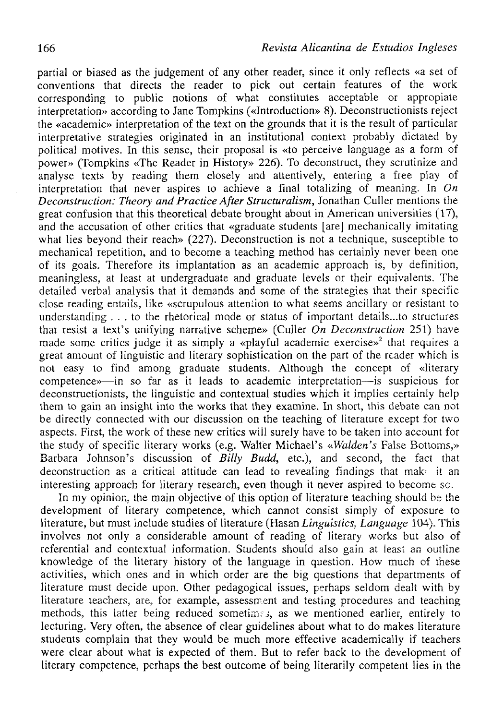partial or biased as the judgement of any other reader, since it only reflects «a set of conventions that directs the reader to pick out certain features of the work corresponding to public notions of what constitutes acceptable or appropiate interpretation» according to Jane Tompkins («Introduction» 8). Deconstructionists reject the «academic» interpretation of the text on the grounds that it is the result of particular interpretative strategies originated in an institutional context probably dictated by political motives. In this sense, their proposal is «to perceive language as a form of power» (Tompkins «The Reader in History» 226). To deconstruct, they scrutinize and analyse texts by reading them closely and attentively, entering a free play of interpretation that never aspires to achieve a final totalizing of meaning. In *On Deconstruction: Theory and Practice After Structuralism,* Jonathan Culler mentions the great confusion that this theoretical debate brought about in American universities (17), and the accusation of other critics that «gradúate students [are] mechanically imitating what lies beyond their reach» (227). Deconstruction is not a technique, susceptible to mechanical repetition, and to become a teaching method has certainly never been one of its goals. Therefore its implantation as an academic approach is, by definition, meaningless, at least at undergraduate and graduate levels or their equivalents. The detailed verbal analysis that it demands and some of the strategies that their specific cióse reading entails, like «scrupulous atteníion to what seems ancillary or resistant to understanding  $\ldots$  to the rhetorical mode or status of important details...to structures that resist a text's unifying narrative scheme» (Culler *On Deconstruction* 251) have made some critics judge it as simply a «playful academic exercise»<sup>2</sup> that requires a great amount of linguistic and literary sophistication on the part of the reader which is not easy to find among gradúate students. Although the concept of «literary competence»—in so far as it leads to academic interpretation—is suspicious for deconstructionists, the linguistic and contextual studies which it implies certainly help them to gain an insight into the works that they examine. In short, this debate can not be directly connected with our discussion on the teaching of literature except for two aspects. First, the work of these new critics will surely have to be taken into account for the study of specific literary works (e.g. Walter Michael's *«Walden's* False Bottoms,» Barbara Johnson's discussion of *Billy Budd,* etc.), and second, the fací that deconstruction as a critical attitude can lead to revealing findings that make it an interesting approach for literary research, even though it never aspired to become so.

In my opinion, the main objective of this option of literature teaching should be the development of literary competence, which cannot consist simply of exposure to literature, but must include studies of literature (Hasan *Linguislics, Language* 104). This involves not only a considerable amount of reading of literary works but also of referential and contextual information. Students should also gain at least an outline knowledge of the literary history of the language in question. How much of these activities, which ones and in which order are the big questions that departments of literature must decide upon. Other pedagogical issues, perhaps seldom dealt with by literature teachers, are, for example, assessment and testing procedures and teaching methods, this latter being reduced sometimes, as we mentioned earlier, entirely to lecturing. Very often, the absence of clear guidelines about what to do makes literature students complain that they would be much more effective academically if teachers were clear about what is expected of them. But to refer back to the development of literary competence, perhaps the best outcome of being literarily competent lies in the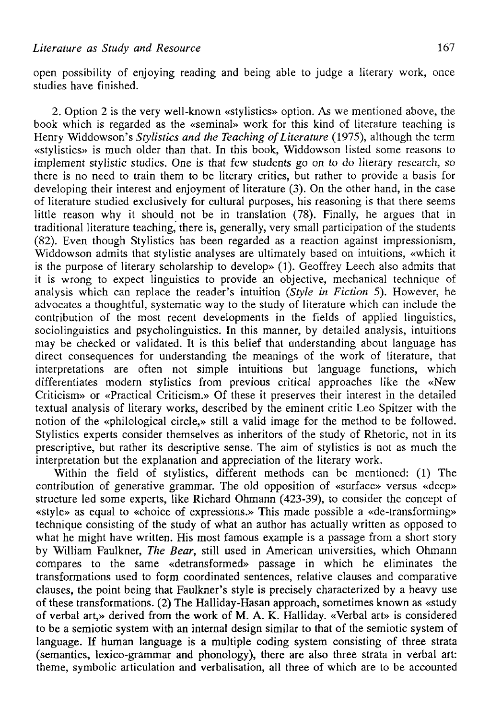open possibility of enjoying reading and being able to judge a literary work, once studies have finished.

2. Option 2 is the very well-known «stylistics» option. As we mentioned above, the book which is regarded as the «seminal» work for this kind of literature teaching is Henry Widdowson's *Stylistics and the Teaching of Literature* (1975), although the term «stylistics» is much older than that. In this book, Widdowson listed some reasons to implement stylistic studies. One is that few students go on to do literary research, so there is no need to train them to be literary critics, but rather to provide a basis for developing their interest and enjoyment of literature (3). On the other hand, in the case of literature studied exclusively for cultural purposes, his reasoning is that there seems little reason why it should not be in translation (78). Finally, he argües that in traditional literature teaching, there is, generally, very small participation of the students (82). Even though Stylistics has been regarded as a reaction against impressionism, Widdowson admits that stylistic analyses are ultimately based on intuitions, «which it is the purpose of literary scholarship to develop» (1). Geoffrey Leech also admits that it is wrong to expect linguistics to provide an objective, mechanical technique of analysis which can replace the reader's intuition *{Style in Fiction* 5). However, he advocates a thoughtful, systematic way to the study of literature which can include the contribution of the most recent developments in the fields of applied linguistics, sociolinguistics and psycholinguistics. In this manner, by detailed analysis, intuitions may be checked or validated. It is this belief that understanding about language has direct consequences for understanding the meanings of the work of literature, that interpretations are often not simple intuitions but language functions, which differentiates modern stylistics from previous critica! approaches like the «New Criticism» or «Practical Criticism.» Of these it preserves their interest in the detailed textual analysis of literary works, described by the eminent critic Leo Spitzer with the notion of the «philological circle,» still a valid image for the method to be followed. Stylistics experts consider themselves as inheritors of the study of Rhetoric, not in its prescriptive, but rather its descriptive sense. The aim of stylistics is not as much the interpretation but the explanation and appreciation of the literary work.

Within the field of stylistics, different methods can be mentioned: (1) The contribution of generative grammar. The old opposition of «surface» versus «deep» structure led some experts, like Richard Ohmann (423-39), to consider the concept of «style» as equal to «choice of expressions.» This made possible a «de-transforming» technique consisting of the study of what an author has actually written as opposed to what he might have written. His most famous example is a passage from a short story by William Faulkner, *The Bear,* still used in American universities, which Ohmann compares to the same «detransformed» passage in which he eliminates the transformations used to form coordinated sentences, relative clauses and comparative clauses, the point being that Faulkner's style is precisely characterized by a heavy use of these transformations. (2) The Halliday-Hasan approach, sometimes known as «study of verbal art,» derived from the work of M. A. K. Halliday. «Verbal art» is considered to be a semiotic system with an internal design similar to that of the semiotic system of language. If human language is a multiple coding system consisting of three strata (semantics, lexico-grammar and phonology), there are also three strata in verbal art: theme, symbolic articulation and verbalisation, all three of which are to be accounted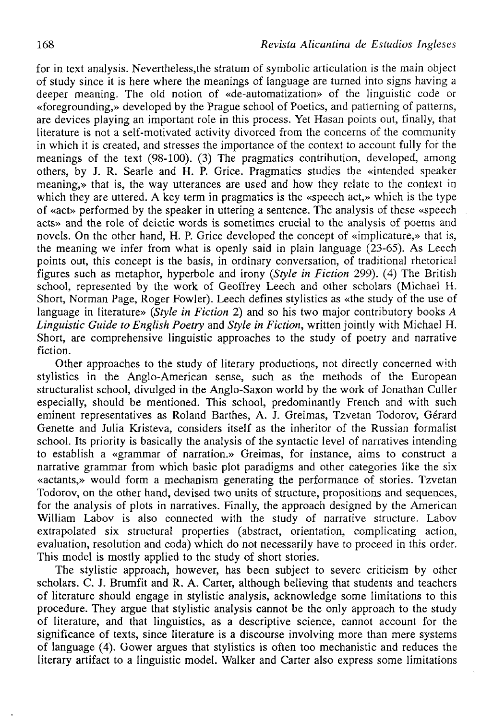for in text analysis. Nevertheless,the stratum of symbolic articulation is the main object of study since it is here where the meanings of language are turned into signs having a deeper meaning. The old notion of «de-automatization» of the linguistic code or «foregrounding,» developed by the Prague school of Poetics, and patterning of patterns, are devices playing an important role in this process. Yet Hasan points out, finally, that literature is not a self-motivated activity divorced from the concerns of the community in which it is created, and stresses the importance of the context to account fully for the meanings of the text (98-100). (3) The pragmatics contribution, developed, among others, by J. R. Searle and H. P. Grice. Pragmatics studies the «intended speaker meaning,» that is, the way utterances are used and how they relate to the context in which they are uttered. A key term in pragmatics is the «speech act,» which is the type of «act» performed by the speaker in uttering a sentence. The analysis of these «speech acts» and the role of deictic words is sometimes crucial to the analysis of poems and novels. On the other hand, H. P. Grice developed the concept of «implicature,» that is, the meaning we infer from what is openly said in plain language (23-65). As Leech points out, this concept is the basis, in ordinary conversation, of traditional rhetorical figures such as metaphor, hyperbole and irony *{Style in Ficlion* 299). (4) The Brítish school, represented by the work of Geoffrey Leech and other scholars (Michael H. Short, Norman Page, Roger Fowler). Leech defines stylistics as «the study of the use of language in literature» *{Style in Fiction* 2) and so his two major contributory books *A Linguistic Guide to English Poetry* and *Style in Fiction,* written jointly with Michael H. Short, are comprehensive linguistic approaches to the study of poetry and narrative fiction.

Other approaches to the study of literary productions, not directly concerned with stylistics in the Anglo-American sense, such as the methods of the European structuralist school, divulged in the Anglo-Saxon world by the work of Jonathan Culler especially, should be mentioned. This school, predominantly French and with such eminent representatives as Roland Barthes, A. J. Greimas, Tzvetan Todorov, Gérard Genette and Julia Kristeva, considers itself as the inheritor of the Russian formalist school. Its priority is basically the analysis of the syntactic level of narratives intending to establish a «grammar of narration.» Greimas, for instance, aims to construct a narrative grammar from which basic plot paradigms and other categories like the six «actants,» would form a mechanism generating the performance of stories. Tzvetan Todorov, on the other hand, devised two units of structure, propositions and sequences, for the analysis of plots in narratives. Finally, the approach designed by the American William Labov is also connected with the study of narrative structure. Labov extrapolated six structural properties (abstract, orientation, complicating action, evaluation, resolution and coda) which do not necessarily have to proceed in this order. This model is mostly applied to the study of short stories.

The stylistíc approach, however, has been subject to severe criticism by other scholars. C. J. Brumfit and R. A. Carter, although believing that students and teachers of literature should engage in stylistic analysis, acknowledge some Iimitations to this procedure. They argüe that stylistic analysis cannot be the only approach to the study of literature, and that Iinguistics, as a descriptive science, cannot account for the significance of texts, since literature is a discourse involving more than mere systems of language (4). Gower argües that stylistics is often too mechanistic and reduces the literary artifact to a linguistic model. Walker and Carter also express some limitations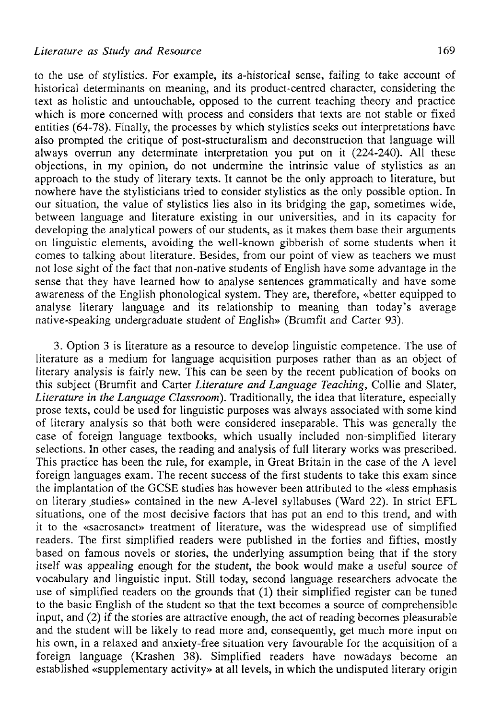to the use of stylistics. For example, its a-historical sense, failing to take account of historical determinants on meaning, and its product-centred character, considering the text as holistic and untouchable, opposed to the current teaching theory and practice which is more concerned with process and considers that texts are not stable or fixed entities (64-78). Finally, the processes by which stylistics seeks out interpretations have also prompted the critique of post-structuralism and deconstruction that language will always overrun any determínate interpretation you put on it (224-240). All these objections, in my opinión, do not undermine the intrinsic valué of stylistics as an approach to the study of literary texts. It cannot be the only approach to literature, but nowhere have the stylisticians tried to consider stylistics as the only possible option. In our situation, the valué of stylistics lies also in its bridging the gap, sometimes wide, between language and literature existing in our universities, and in its capacity for developing the analytical powers of our students, as it makes them base their arguments on linguistic elements, avoiding the well-known gibberish of some students when it comes to talking about literature. Besides, from our point of view as teachers we must not lose sight of the fact that non-native students of English have some advantage in the sense that they have learned how to analyse sentences grammatically and have some awareness of the English phonological system. They are, therefore, «better equipped to analyse literary language and its relationship to meaning than today's average native-speaking undergraduate student of English» (Brumfit and Carter 93).

3. Option 3 is literature as a resource to develop linguistic competence. The use of literature as a medium for language acquisition purposes rather than as an object of literary analysis is fairly new. This can be seen by the recent publication of books on this subject (Brumfit and Cárter *Literature and Language Teaching,* Collie and Slater, *Literature in the Language Classroom).* Traditionally, the idea that literature, especially prose texts, could be used for linguistic purposes was always associated with some kind of literary analysis so thát both were considered inseparable. This was generally the case of foreign language textbooks, which usually included non-simplified literary selections. In other cases, the reading and analysis of full literary works was prescribed. This practice has been the rule, for example, in Great Britain in the case of the A level foreign languages exam. The recent success of the first students to take this exam since the implantation of the GCSE studies has however been attributed to the «Iess emphasis on literary studies» contained in the new A-level syllabuses (Ward 22). In strict EFL situations, one of the most decisive factors that has put an end to this trend, and with it to the «sacrosanct» treatment of literature, was the widespread use of simplified readers. The first simplified readers were published in the forties and fifties, mostly based on famous novéis or stories, the underlying assumption being that if the story itself was appealing enough for the student, the book would make a useful source of vocabulary and linguistic input. Still today, second language researchers advocate the use of simplified readers on the grounds that (1) their simplified register can be tuned to the basic English of the student so that the text becomes a source of comprehensible input, and (2) if the stories are attractive enough, the act of reading becomes pleasurable and the student will be likely to read more and, consequently, get much more input on his own, in a relaxed and anxiety-free situation very favourable for the acquisition of a foreign language (Krashen 38). Simplified readers have nowadays become an established «supplementary activity» at all levels, in which the undisputed literary origin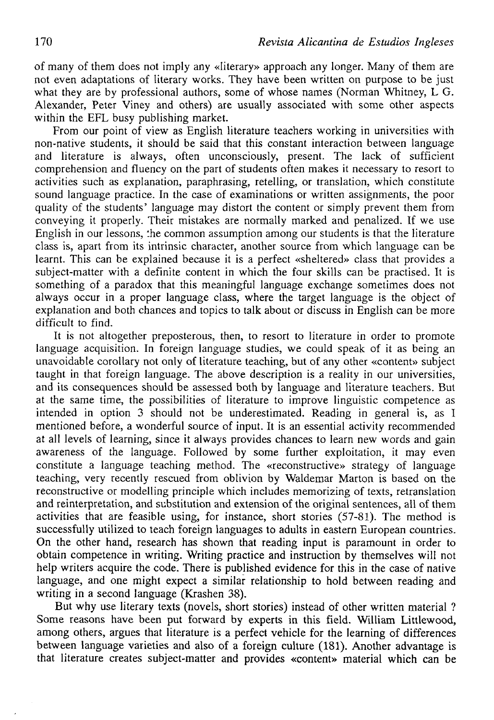of many of them does not imply any «Iiterary» approach any longer. Many of them are not even adaptations of Iiterary works. They have been written on purpose to be just what they are by professional authors, some of whose names (Norman Whitney,  $\tilde{L}$  G. Alexander, Peter Viney and others) are usually associated with some other aspects within the EFL busy publishing market.

From our point of view as English literature teachers working in universities with non-native students, it should be said that this constant interaction between language and literature is always, often unconsciously, present. The lack of sufficient comprehension and fluency on the part of students often makes it necessary to resort to activities such as explanation, paraphrasing, retelling, or translation, which constitute sound language practice. In the case of examinations or written assignments, the poor quality of the students' language may distort the contení or simply prevent them from conveying it properly. Their mistakes are normally marked and penalized. If we use English in our lessons, the common assumption among our students is that the literature class is, apart from its intrinsic character, another source from which language can be learnt. This can be explained because it is a perfect «sheltered» class that provides a subject-matter with a definite content in which the four skills can be practised. It is something of a paradox that this meaningful language exchange sometimes does not always occur in a proper language class, where the target language is the object of explanation and both chances and topics to talk about or discuss in English can be more difficult to find.

It is not altogether preposterous, then, to resort to literature in order to promote language acquisition. In foreign language studies, we could speak of it as being an unavoidable corollary not only of literature teaching, but of any other «contení» subject taught in that foreign language. The above description is a reality in our universities, and its consequences should be assessed both by language and literature teachers. But at the same time, the possibilities of literature to improve linguistic competence as intended in option 3 should not be underestimated. Reading in general is, as I mentioned before, a wonderful source of input. It is an essential activity recommended at all levels of learning, since it always provides chances to learn new words and gain awareness of the language. Followed by some further exploitation, it may even constitute a language teaching method. The «reconstructive» strategy of language teaching, very recently rescued from oblivion by Waldemar Marton is based on the reconstructive or modelling principie which includes memorizing of texts, retranslation and reinterpretation, and substitution and extension of the original sentences, all of them activities that are feasible using, for instance, short stories (57-81). The method is successfully utilized to teach foreign languages to adults in eastern European countries. On the olher hand, research has shown that reading input is paramount in order to obtain competence in writing. Writing practice and instruction by themselves will not help writers acquire the code. There is published evidence for this in the case of native language, and one might expect a similar relationship to hold between reading and writing in a second language (Krashen 38).

But why use literary texts (novels, short stories) instead of other written material ? Some reasons have been put forward by experts in this field. William Litllewood, among others, argues that literature is a perfect vehicle for the learning of differences between language varieties and also of a foreign culture (181). Another advantage is that literature creates subject-matter and provides «contení» material which can be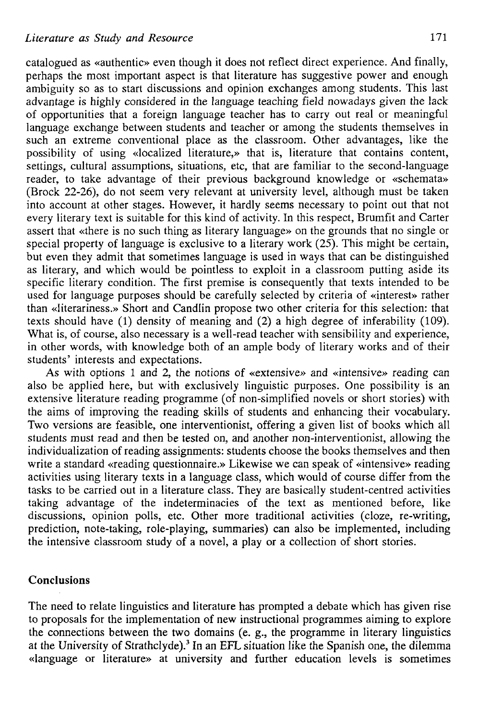catalogued as «authentic» even though it does not reflect direct experience. And finally, perhaps the most important aspect is that literature has suggestive power and enough ambiguity so as to start discussions and opinión exchanges among students. This last advantage is highly considered in the language teaching field nowadays given the lack of opportunities that a foreign language teacher has to carry out real or meaningful language exchange between students and teacher or among the students themselves in such an extreme conventional place as the classroom. Other advantages, like the possibility of using «localized literature,» that is, literature that contains content, settings, cultural assumptions, situations, etc, that are familiar to the second-language reader, to take advantage of their previous background knowledge or «schemata» (Brock 22-26), do not seem very relevant at university level, although must be taken into account at other stages. However, it hardly seems necessary to point out that not every literary text is suitable for this kind of activity. In this respect, Brumfit and Carter assert that «there is no such thing as literary language» on the grounds that no single or special property of language is exclusive to a literary work  $(25)$ . This might be certain, but even they admit that sometimes language is used in ways that can be distinguished as literary, and which would be pointless to exploit in a classroom putting aside its specific literary condition. The first premise is consequently that texts intended to be used for language purposes should be carefully selected by criteria of «interest» rather than «literariness.» Short and Candlin propose two other criteria for this selection: that texts should have (1) density of meaning and (2) a high degree of inferability (109). What is, of course, also necessary is a well-read teacher with sensibility and experience, in other words, with knowledge both of an ampie body of literary works and of their students' interests and expectations.

As with options 1 and 2, the notions of «extensive» and «intensive» reading can also be applied here, but with exclusively linguistic purposes. One possibility is an extensive literature reading programme (of non-simplified novels or short stories) with the aims of improving the reading skills of students and enhancing their vocabulary. Two versions are feasible, one interventionist, offering a given list of books which all students must read and then be tested on, and another non-interventionist, allowing the individualization of reading assignments: students choose the books themselves and then write a standard «reading questionnaire.» Likewise we can speak of «intensive» reading activities using literary texts in a language class, which would of course differ from the tasks to be carried out in a literature class. They are basically student-centred activities taking advantage of the indeterminacies of the text as mentioned before, like discussions, opinión polis, etc. Other more traditional activities (cloze, re-writing, prediction, note-taking, role-playing, summaries) can also be implemented, including the intensive classroom study of a novel, a play or a collection of short stories.

## Conclusions

The need to relate linguistics and literature has prompted a debate which has given rise to proposals for the implementation of new instructional programmes aiming to explore the connections between the two domains (e. g., the programme in literary linguistics at the University of Strathclyde).<sup>3</sup> In an EFL situation like the Spanish one, the dilemma «language or literature» at university and further education levels is sometimes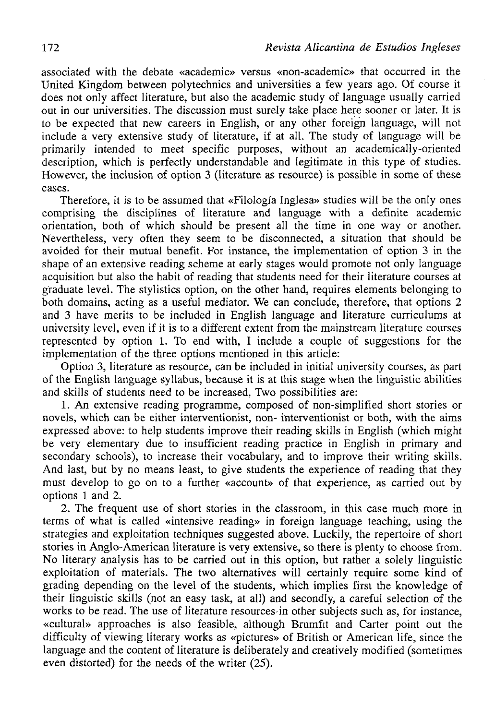associated with the debate «academic» versus «non-academic» íhat occurred in the United Kingdom between polytechnics and universities a few years ago. Of course it does not only affect literature, but also the academic study of language usually carried out in our universities. The discussion must surely take place here sooner or later. It is to be expected that new careers in English, or any other foreign language, will not include a very extensive study of literature, if at all. The study of language will be primarily intended to meet specific purposes, without an academically-oriented description, which is perfectly understandable and legitimate in this type of studies. However, the inclusion of option 3 (literature as resource) is possible in some of these cases.

Therefore, it is to be assumed that «Filología Inglesa» studies will be the only ones comprising the disciplines of literature and language with a definite academic orientation, both of which should be present all the time in one way or another. Nevertheless, very often they seem to be disconnected, a situation that should be avoided for their mutual benefit. For instance, the implementation of option 3 in the shape of an extensive reading scheme at early stages would promote not only language acquisition but also the habit of reading that students need for their literature courses at gradúate level. The stylistics option, on the other hand, requires elements belonging to both domains, acting as a useful mediator. We can conclude, therefore, that options 2 and 3 have merits to be included in English language and literature curriculums at university level, even if it is to a different extent from the mainstream literature courses represented by option 1. To end with, I include a couple of suggestions for the implementation of the three options mentioned in this article:

Option 3, literature as resource, can be included in initial university courses, as part of the English language syllabus, because it is at this stage when the linguistic abilities and skills of students need to be increased. Two possibilities are:

1. An extensive reading programme, composed of non-simplified short stories or novels, which can be either interventionist, non- interventionist or both, with the aims expressed above: to help students improve their reading skills in English (which might be very elementary due to insufficient reading practice in English in primary and secondary schools), to increase their vocabulary, and to improve their writing skills. And last, but by no means least, to give students the experience of reading that they must develop to go on to a further «account» of that experience, as carried out by options 1 and 2.

2. The frequent use of short stories in the classroom, in this case much more in terms of what is called «intensive reading» in foreign language teaching, using the strategies and exploitation techniques suggested above. Luckily, the repertoire of short stories in Anglo-American literature is very extensive, so there is plenty to choose from. No literary analysis has to be carried out in this option, but rather a solely linguistic exploitation of materials. The two alternatives will certainly require some kind of grading depending on the level of the students, which implies first the knowledge of their linguistic skills (not an easy task, at all) and secondly, a careful selection of the works to be read. The use of literature resources-in other subjects such as, for instance, «cultural» approaches is also feasible, although Brumfit and Carter point out the difficulty of viewing literary works as «pictures» of British or American life, since the language and the content of literature is deliberately and creatively modified (sometimes even distorted) for the needs of the writer (25).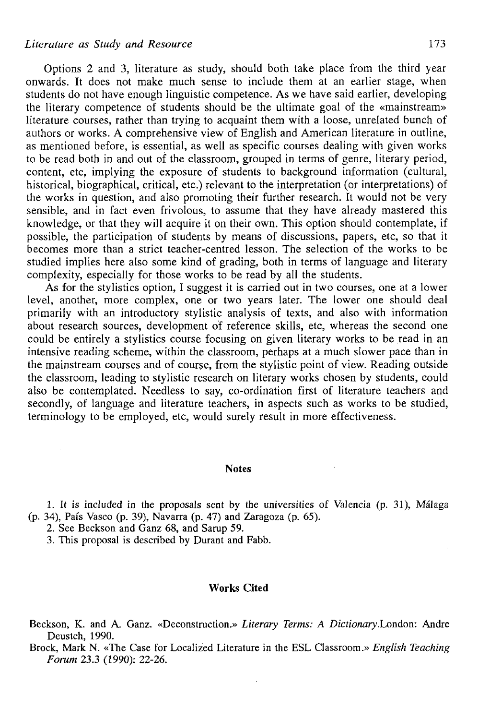### *Literature as Study and Resource* 173

Options 2 and 3, literature as study, should both take place from the third year onwards. It does not make much sense to include them at an earlier stage, when students do not have enough linguistic competence. As we have said earlier, developing the literary competence of students should be the ultímate goal of the «mainstream» literature courses, rather than trying to acquaint them with a loóse, unrelated bunch of authors or works. A comprehensive view of English and American literature in outline, as mentioned before, is essential, as well as specific courses dealing with given works to be read both in and out of the classroom, grouped in terms of genre, literary period, content, etc, implying the exposure of students to background information (cultural, historical, biographical, critical, etc.) relevant to the interpretation (or interpretations) of the works in question, and also promoting their further research. It would not be very sensible, and in fact even frivolous, to assume that they have already mastered this knowledge, or that they will acquire it on their own. This option should contemplate, if possible, the participation of students by means of discussions, papers, etc, so that it becomes more than a strict teacher-centred lesson. The selection of the works to be studied implies here also some kind of grading, both in terms of language and literary complexity, especially for those works to be read by all the students.

As for the stylistics option, I suggest it is carried out in two courses, one at a lower level, another, more complex, one or two years later. The lower one should deal primarily with an introductory stylistic analysis of texts, and also with information about research sources, development of reference skills, etc, whereas the second one could be entirely a stylistics course focusing on given literary works to be read in an intensive reading scheme, within the classroom, perhaps at a much slower pace than in the mainstream courses and of course, from the stylistic point of view. Reading outside the classroom, leading to stylistic research on literary works chosen by students, could also be contemplated. Needless to say, co-ordination first of literature teachers and secondly, of language and literature teachers, in aspects such as works to be studied, terminology to be employed, etc, would surely result in more effectiveness.

#### **Notes**

1. It is included in the proposals sent by the univcrsities of Valencia (p. 31), Málaga (p. 34), País Vasco (p. 39), Navarra (p. 47) and Zaragoza (p. 65).

2. See Beckson and Ganz 68, and Sarup 59.

3. This proposal is described by Durant and Fabb.

#### Works Cited

Beckson, K. and A. Ganz. «Deconstruction.» *Literary Terms: A Dictionary.London: Andre* Deustch, 1990.

Brock, Mark N. «The Case for Localized Literature in the ESL Classroom.» *English Teaching Forum* 23.3 (1990): 22-26.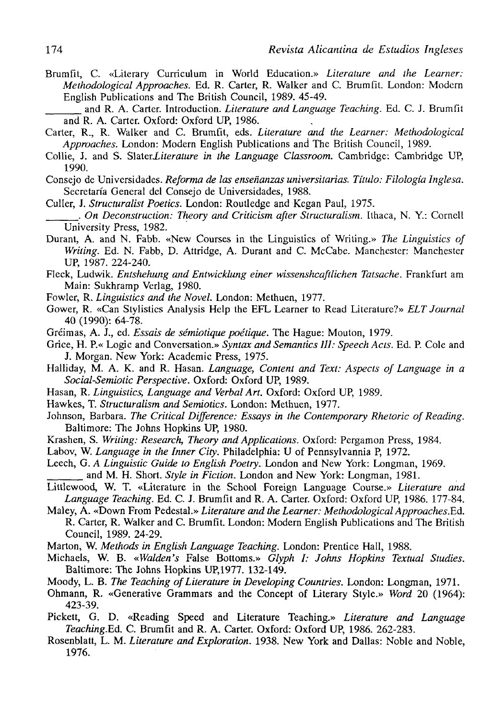Brumfít, C. «Literary Curriculum in World Education.» *Literature and the Learner: Methodological Approaches.* Ed. R. Cárter, R. Walker and C. Brumfit. London: Modcrn English Publications and The British Council, 1989. 45-49.

and R. A. Cárter. Introduction. *Literature and Language Teaching.* Ed. C. J. Brumfit and R. A. Carter. Oxford: Oxford UP, 1986.

- Cárter, R., R. Walker and C. Brumfit, eds. *Literature and the Learner: Methodological Approaches.* London: Modera English Publications and The British Council, 1989.
- Collie, J. and S. Slater*Literature in the Language Classroom*. Cambridge: Cambridge UP, 1990.
- Consejo de Universidades. *Reforma de las enseñanzas universitarias. Título: Filología Inglesa.*  Secretaría General del Consejo de Universidades, 1988.
- Culler, J. *Structuralist Poetics.* London: Routledge and Kcgan Paul, 1975.
- . *On Deconstruction: Theory and Criticism after Structuralism.* Ithaca, N. Y.: Cornell University Press, 1982.
- Durant, A. and N. Fabb. «New Courses in the Linguistics of Writing.» *The Linguistics of Writing.* Ed. N. Fabb, D. Attridge, A. Durant and C. McCabe. Manchester: Manchester UP, 1987. 224-240.
- Fleck, Ludwik. *Entshehung and Entwicklung einer wissenshcaftlichen Tatsache.* Frankfurt am Main: Sukhramp Verlag, 1980.
- Fowler, R. *Linguistics and the Novel.* London: Methuen, 1977.
- Gower, R. «Can Stylistics Analysis Help the EFL Learner to Read Literature?» *ELT Journal*  40 (1990): 64-78.
- Gréimas, A. J., ed. *Essais de sémiotique poétique.* The Hague: Mouton, 1979.
- Grice, H. P.« Logic and Conversation.» Syntax and Semantics III: Speech Acts. Ed. P. Cole and J. Morgan. New York: Academic Press, 1975.
- Halliday, M. A. K. and R. Hasan. *Language, Contení and Text: Aspects of Language in a Social-Semiotic Perspective.* Oxford: Oxford UP, 1989.
- Hasan, R. *Linguistics, Language and Verbal Art.* Oxford: Oxford UP, 1989.
- Hawkes, T. *Structuralism and Semiotics.* London: Methuen, 1977.
- Johnson, Barbara. *The Critical Difference: Essays in the Contemporary Rhetoric of Reading.*  Baltimore: The Johns Hopkins UP, 1980.
- Krashen, S. *Writing: Research, Theory and Applications.* Oxford: Pergamon Press, 1984.

Labov, W. *Language in the Inner City.* Philadelphia: U of Pennsylvannia P, 1972.

- Leech, G. *A Linguistic Guide to English Poetry.* London and New York: Longman, 1969. and M. H. Short. *Style in Fiction.* London and New York: Longman, 1981.
- Littlewood, W. T. «Literature in the School Foreign Language Course.» *Literature and Language Teaching.* Ed. C. J. Brumfit and R. A. Cárter. Oxford: Oxford UP, 1986. 177-84.
- Maley, A. «Down From Pedestal.» *Literature and the Learner: Methodological Approaches.Ed.*  R. Cárter, R. Walker and C. Brumfit. London: Modera English Publications and The British Council, 1989. 24-29.
- Marton, W. *Methods in English Language Teaching.* London: Prentice Hall, 1988.
- Michaels, W. B. *«Walden's* False Bottoms.» *Glyph I: Johns Hopkins Textual Studies.*  Baltimore: The Johns Hopkins UP,1977. 132-149.
- Moody, L. B. *The Teaching of Literature in Developing Countries.* London: Longman, 1971.
- Ohmann, R. «Generative Grammars and the Concept of Literary Style.» *Word* 20 (1964): 423-39.
- Pickett, G. D. «Reading Speed and Literature Teaching.» *Literature and Language Teaching.Ed.* C. Brumfit and R. A. Cárter. Oxford: Oxford UP, 1986. 262-283.
- Rosenblatt, L. M. *Literature and Exploration.* 1938. New York and Dallas: Noble and Noble, 1976.